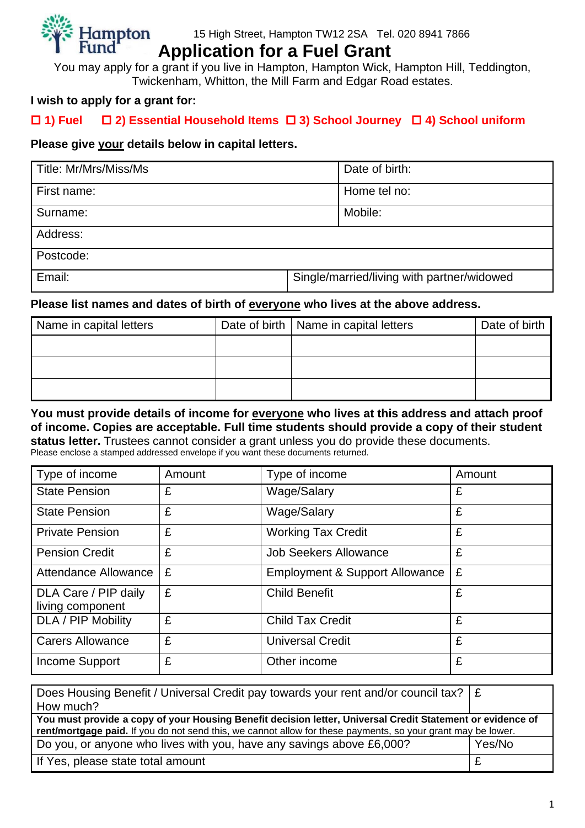

# **Application for a Fuel Grant**

You may apply for a grant if you live in Hampton, Hampton Wick, Hampton Hill, Teddington, Twickenham, Whitton, the Mill Farm and Edgar Road estates.

## **I wish to apply for a grant for:**

## **1) Fuel 2) Essential Household Items 3) School Journey 4) School uniform**

## **Please give your details below in capital letters.**

| Title: Mr/Mrs/Miss/Ms | Date of birth:                             |
|-----------------------|--------------------------------------------|
| First name:           | Home tel no:                               |
| Surname:              | Mobile:                                    |
| Address:              |                                            |
| Postcode:             |                                            |
| Email:                | Single/married/living with partner/widowed |

## **Please list names and dates of birth of everyone who lives at the above address.**

| Name in capital letters | Date of birth   Name in capital letters | Date of birth |
|-------------------------|-----------------------------------------|---------------|
|                         |                                         |               |
|                         |                                         |               |
|                         |                                         |               |

#### **You must provide details of income for everyone who lives at this address and attach proof of income. Copies are acceptable. Full time students should provide a copy of their student status letter.** Trustees cannot consider a grant unless you do provide these documents.

Please enclose a stamped addressed envelope if you want these documents returned.

| Type of income                           | Amount | Type of income                 | Amount |
|------------------------------------------|--------|--------------------------------|--------|
| <b>State Pension</b>                     | £      | Wage/Salary                    | £      |
| <b>State Pension</b>                     | £      | Wage/Salary                    | £      |
| <b>Private Pension</b>                   | £      | <b>Working Tax Credit</b>      | £      |
| <b>Pension Credit</b>                    | £      | <b>Job Seekers Allowance</b>   | £      |
| Attendance Allowance                     | £      | Employment & Support Allowance | £      |
| DLA Care / PIP daily<br>living component | £      | <b>Child Benefit</b>           | £      |
| DLA / PIP Mobility                       | £      | <b>Child Tax Credit</b>        | £      |
| <b>Carers Allowance</b>                  | £      | <b>Universal Credit</b>        | £      |
| <b>Income Support</b>                    | £      | Other income                   | £      |

| Does Housing Benefit / Universal Credit pay towards your rent and/or council tax? $\mathcal{E}$              |        |
|--------------------------------------------------------------------------------------------------------------|--------|
| How much?                                                                                                    |        |
| You must provide a copy of your Housing Benefit decision letter, Universal Credit Statement or evidence of   |        |
| rent/mortgage paid. If you do not send this, we cannot allow for these payments, so your grant may be lower. |        |
| Do you, or anyone who lives with you, have any savings above £6,000?                                         | Yes/No |
| If Yes, please state total amount                                                                            |        |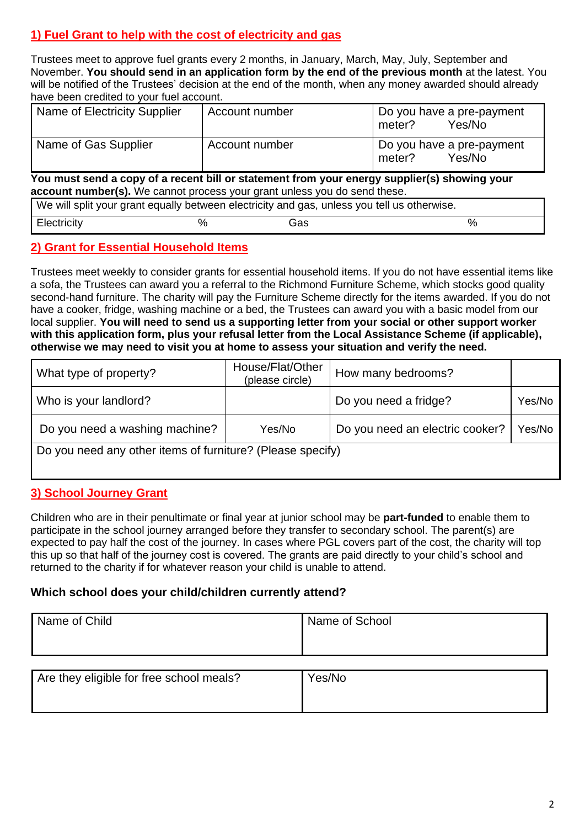# **1) Fuel Grant to help with the cost of electricity and gas**

Trustees meet to approve fuel grants every 2 months, in January, March, May, July, September and November. **You should send in an application form by the end of the previous month** at the latest. You will be notified of the Trustees' decision at the end of the month, when any money awarded should already have been credited to your fuel account.

| Name of Electricity Supplier | Account number | Do you have a pre-payment<br>Yes/No<br>meter? |
|------------------------------|----------------|-----------------------------------------------|
| Name of Gas Supplier         | Account number | Do you have a pre-payment<br>Yes/No<br>meter? |

**You must send a copy of a recent bill or statement from your energy supplier(s) showing your account number(s).** We cannot process your grant unless you do send these.

| We will split your grant equally between electricity and gas, unless you tell us otherwise. |  |     |  |
|---------------------------------------------------------------------------------------------|--|-----|--|
| Electricity                                                                                 |  | Gas |  |

## **2) Grant for Essential Household Items**

Trustees meet weekly to consider grants for essential household items. If you do not have essential items like a sofa, the Trustees can award you a referral to the Richmond Furniture Scheme, which stocks good quality second-hand furniture. The charity will pay the Furniture Scheme directly for the items awarded. If you do not have a cooker, fridge, washing machine or a bed, the Trustees can award you with a basic model from our local supplier. **You will need to send us a supporting letter from your social or other support worker with this application form, plus your refusal letter from the Local Assistance Scheme (if applicable), otherwise we may need to visit you at home to assess your situation and verify the need.**

| What type of property?                                     | House/Flat/Other<br>(please circle) | How many bedrooms?              |        |
|------------------------------------------------------------|-------------------------------------|---------------------------------|--------|
| Who is your landlord?                                      |                                     | Do you need a fridge?           | Yes/No |
| Do you need a washing machine?                             | Yes/No                              | Do you need an electric cooker? | Yes/No |
| Do you need any other items of furniture? (Please specify) |                                     |                                 |        |
|                                                            |                                     |                                 |        |

## **3) School Journey Grant**

Children who are in their penultimate or final year at junior school may be **part-funded** to enable them to participate in the school journey arranged before they transfer to secondary school. The parent(s) are expected to pay half the cost of the journey. In cases where PGL covers part of the cost, the charity will top this up so that half of the journey cost is covered. The grants are paid directly to your child's school and returned to the charity if for whatever reason your child is unable to attend.

## **Which school does your child/children currently attend?**

| Name of Child | Name of School |
|---------------|----------------|
|               |                |
|               |                |

| Are they eligible for free school meals? | Yes/No |
|------------------------------------------|--------|
|                                          |        |